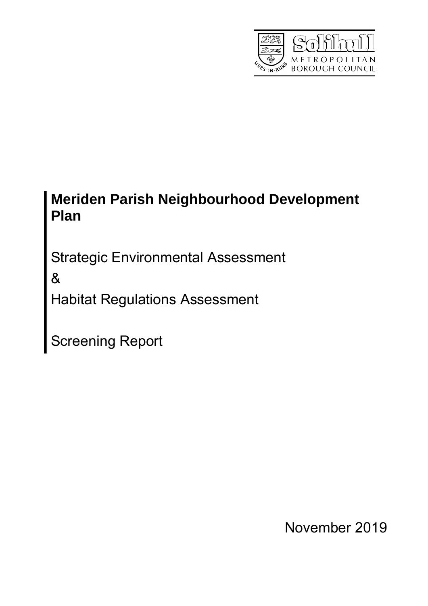

# **Meriden Parish Neighbourhood Development Plan**

Strategic Environmental Assessment

&

Habitat Regulations Assessment

Screening Report

November 2019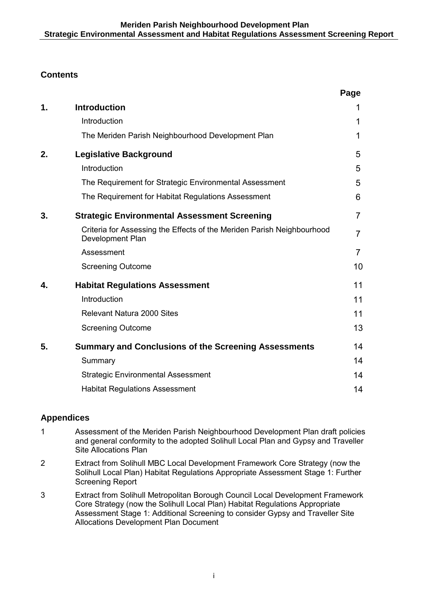# **Contents**

|    |                                                                                                   | Page           |
|----|---------------------------------------------------------------------------------------------------|----------------|
| 1. | <b>Introduction</b>                                                                               | 1              |
|    | Introduction                                                                                      | 1              |
|    | The Meriden Parish Neighbourhood Development Plan                                                 | 1              |
| 2. | <b>Legislative Background</b>                                                                     | 5              |
|    | Introduction                                                                                      | 5              |
|    | The Requirement for Strategic Environmental Assessment                                            | 5              |
|    | The Requirement for Habitat Regulations Assessment                                                | 6              |
| 3. | <b>Strategic Environmental Assessment Screening</b>                                               | $\overline{7}$ |
|    | Criteria for Assessing the Effects of the Meriden Parish Neighbourhood<br><b>Development Plan</b> | $\overline{7}$ |
|    | Assessment                                                                                        | $\overline{7}$ |
|    | <b>Screening Outcome</b>                                                                          | 10             |
| 4. | <b>Habitat Regulations Assessment</b>                                                             | 11             |
|    | Introduction                                                                                      | 11             |
|    | <b>Relevant Natura 2000 Sites</b>                                                                 | 11             |
|    | <b>Screening Outcome</b>                                                                          | 13             |
| 5. | <b>Summary and Conclusions of the Screening Assessments</b>                                       | 14             |
|    | Summary                                                                                           | 14             |
|    | <b>Strategic Environmental Assessment</b>                                                         | 14             |
|    | <b>Habitat Regulations Assessment</b>                                                             | 14             |

# **Appendices**

- 1 Assessment of the Meriden Parish Neighbourhood Development Plan draft policies and general conformity to the adopted Solihull Local Plan and Gypsy and Traveller Site Allocations Plan
- 2 Extract from Solihull MBC Local Development Framework Core Strategy (now the Solihull Local Plan) Habitat Regulations Appropriate Assessment Stage 1: Further Screening Report
- 3 Extract from Solihull Metropolitan Borough Council Local Development Framework Core Strategy (now the Solihull Local Plan) Habitat Regulations Appropriate Assessment Stage 1: Additional Screening to consider Gypsy and Traveller Site Allocations Development Plan Document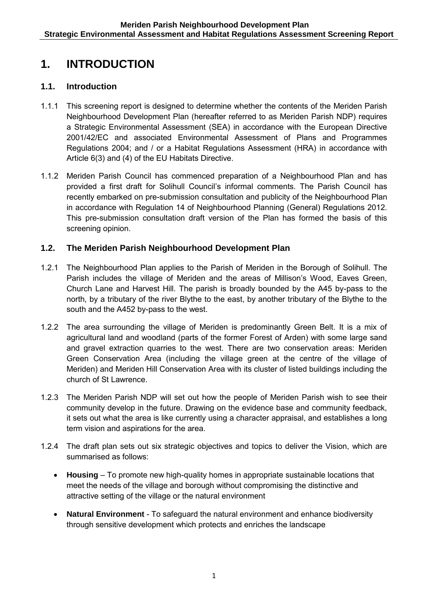# **1. INTRODUCTION**

# **1.1. Introduction**

- 1.1.1 This screening report is designed to determine whether the contents of the Meriden Parish Neighbourhood Development Plan (hereafter referred to as Meriden Parish NDP) requires a Strategic Environmental Assessment (SEA) in accordance with the European Directive 2001/42/EC and associated Environmental Assessment of Plans and Programmes Regulations 2004; and / or a Habitat Regulations Assessment (HRA) in accordance with Article 6(3) and (4) of the EU Habitats Directive.
- 1.1.2 Meriden Parish Council has commenced preparation of a Neighbourhood Plan and has provided a first draft for Solihull Council's informal comments. The Parish Council has recently embarked on pre-submission consultation and publicity of the Neighbourhood Plan in accordance with Regulation 14 of Neighbourhood Planning (General) Regulations 2012. This pre-submission consultation draft version of the Plan has formed the basis of this screening opinion.

# **1.2. The Meriden Parish Neighbourhood Development Plan**

- 1.2.1 The Neighbourhood Plan applies to the Parish of Meriden in the Borough of Solihull. The Parish includes the village of Meriden and the areas of Millison's Wood, Eaves Green, Church Lane and Harvest Hill. The parish is broadly bounded by the A45 by-pass to the north, by a tributary of the river Blythe to the east, by another tributary of the Blythe to the south and the A452 by-pass to the west.
- 1.2.2 The area surrounding the village of Meriden is predominantly Green Belt. It is a mix of agricultural land and woodland (parts of the former Forest of Arden) with some large sand and gravel extraction quarries to the west. There are two conservation areas: Meriden Green Conservation Area (including the village green at the centre of the village of Meriden) and Meriden Hill Conservation Area with its cluster of listed buildings including the church of St Lawrence.
- 1.2.3 The Meriden Parish NDP will set out how the people of Meriden Parish wish to see their community develop in the future. Drawing on the evidence base and community feedback, it sets out what the area is like currently using a character appraisal, and establishes a long term vision and aspirations for the area.
- 1.2.4 The draft plan sets out six strategic objectives and topics to deliver the Vision, which are summarised as follows:
	- **Housing**  To promote new high-quality homes in appropriate sustainable locations that meet the needs of the village and borough without compromising the distinctive and attractive setting of the village or the natural environment
	- **Natural Environment** To safeguard the natural environment and enhance biodiversity through sensitive development which protects and enriches the landscape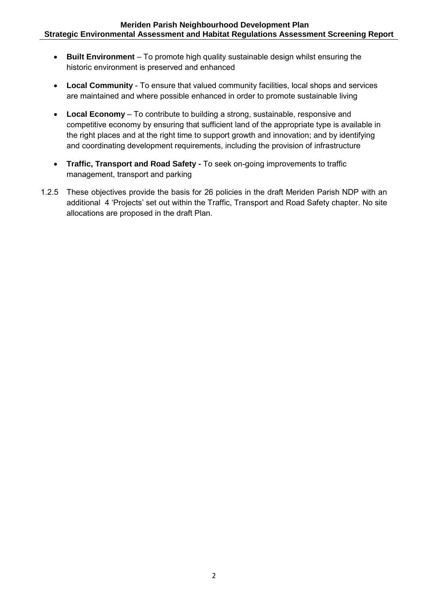- **Built Environment** To promote high quality sustainable design whilst ensuring the historic environment is preserved and enhanced
- **Local Community** To ensure that valued community facilities, local shops and services are maintained and where possible enhanced in order to promote sustainable living
- **Local Economy** To contribute to building a strong, sustainable, responsive and competitive economy by ensuring that sufficient land of the appropriate type is available in the right places and at the right time to support growth and innovation; and by identifying and coordinating development requirements, including the provision of infrastructure
- **Traffic, Transport and Road Safety** To seek on-going improvements to traffic management, transport and parking
- 1.2.5 These objectives provide the basis for 26 policies in the draft Meriden Parish NDP with an additional 4 'Projects' set out within the Traffic, Transport and Road Safety chapter. No site allocations are proposed in the draft Plan.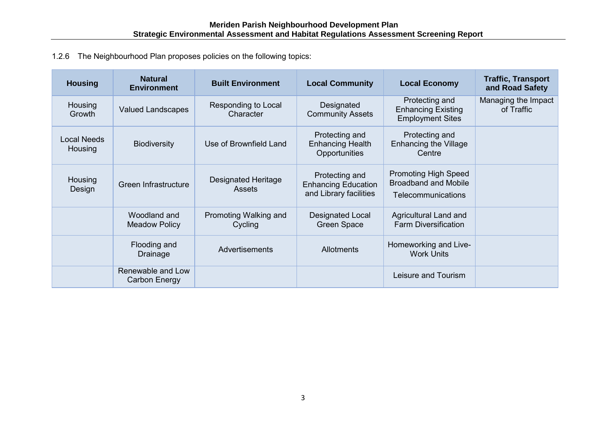1.2.6 The Neighbourhood Plan proposes policies on the following topics:

| <b>Housing</b>           | <b>Natural</b><br><b>Environment</b> | <b>Built Environment</b>                    | <b>Local Community</b>                                                 | <b>Local Economy</b>                                                             | <b>Traffic, Transport</b><br>and Road Safety |
|--------------------------|--------------------------------------|---------------------------------------------|------------------------------------------------------------------------|----------------------------------------------------------------------------------|----------------------------------------------|
| <b>Housing</b><br>Growth | <b>Valued Landscapes</b>             | Responding to Local<br>Character            | Designated<br><b>Community Assets</b>                                  | Protecting and<br><b>Enhancing Existing</b><br><b>Employment Sites</b>           | Managing the Impact<br>of Traffic            |
| Local Needs<br>Housing   | <b>Biodiversity</b>                  | Use of Brownfield Land                      | Protecting and<br><b>Enhancing Health</b><br>Opportunities             | Protecting and<br><b>Enhancing the Village</b><br>Centre                         |                                              |
| <b>Housing</b><br>Design | Green Infrastructure                 | <b>Designated Heritage</b><br><b>Assets</b> | Protecting and<br><b>Enhancing Education</b><br>and Library facilities | <b>Promoting High Speed</b><br><b>Broadband and Mobile</b><br>Telecommunications |                                              |
|                          | Woodland and<br><b>Meadow Policy</b> | Promoting Walking and<br>Cycling            | <b>Designated Local</b><br><b>Green Space</b>                          | Agricultural Land and<br><b>Farm Diversification</b>                             |                                              |
|                          | Flooding and<br>Drainage             | Advertisements                              | <b>Allotments</b>                                                      | Homeworking and Live-<br><b>Work Units</b>                                       |                                              |
|                          | Renewable and Low<br>Carbon Energy   |                                             |                                                                        | Leisure and Tourism                                                              |                                              |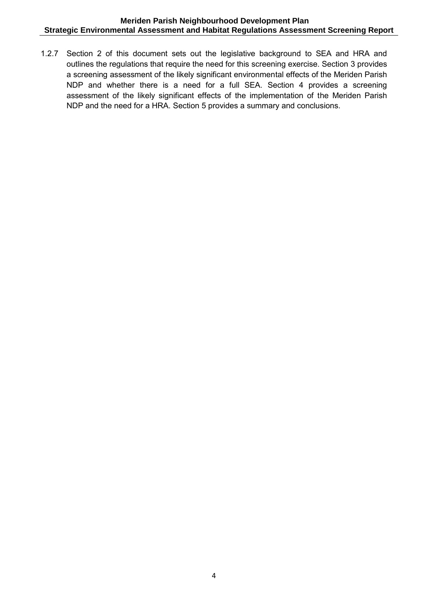1.2.7 Section 2 of this document sets out the legislative background to SEA and HRA and outlines the regulations that require the need for this screening exercise. Section 3 provides a screening assessment of the likely significant environmental effects of the Meriden Parish NDP and whether there is a need for a full SEA. Section 4 provides a screening assessment of the likely significant effects of the implementation of the Meriden Parish NDP and the need for a HRA. Section 5 provides a summary and conclusions.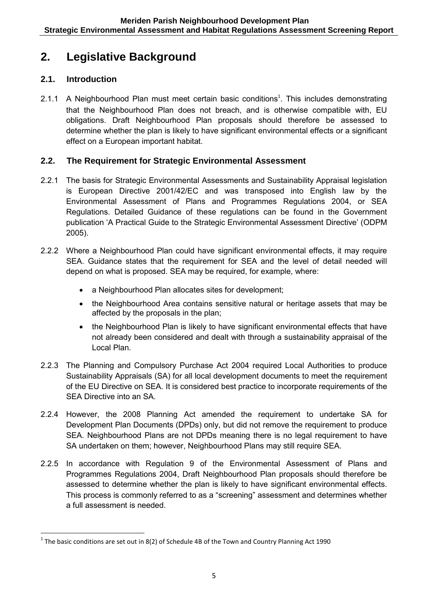# **2. Legislative Background**

# **2.1. Introduction**

1

2.1.1 A Neighbourhood Plan must meet certain basic conditions<sup>1</sup>. This includes demonstrating that the Neighbourhood Plan does not breach, and is otherwise compatible with, EU obligations. Draft Neighbourhood Plan proposals should therefore be assessed to determine whether the plan is likely to have significant environmental effects or a significant effect on a European important habitat.

# **2.2. The Requirement for Strategic Environmental Assessment**

- 2.2.1 The basis for Strategic Environmental Assessments and Sustainability Appraisal legislation is European Directive 2001/42/EC and was transposed into English law by the Environmental Assessment of Plans and Programmes Regulations 2004, or SEA Regulations. Detailed Guidance of these regulations can be found in the Government publication 'A Practical Guide to the Strategic Environmental Assessment Directive' (ODPM 2005).
- 2.2.2 Where a Neighbourhood Plan could have significant environmental effects, it may require SEA. Guidance states that the requirement for SEA and the level of detail needed will depend on what is proposed. SEA may be required, for example, where:
	- a Neighbourhood Plan allocates sites for development;
	- the Neighbourhood Area contains sensitive natural or heritage assets that may be affected by the proposals in the plan;
	- the Neighbourhood Plan is likely to have significant environmental effects that have not already been considered and dealt with through a sustainability appraisal of the Local Plan.
- 2.2.3 The Planning and Compulsory Purchase Act 2004 required Local Authorities to produce Sustainability Appraisals (SA) for all local development documents to meet the requirement of the EU Directive on SEA. It is considered best practice to incorporate requirements of the SEA Directive into an SA.
- 2.2.4 However, the 2008 Planning Act amended the requirement to undertake SA for Development Plan Documents (DPDs) only, but did not remove the requirement to produce SEA. Neighbourhood Plans are not DPDs meaning there is no legal requirement to have SA undertaken on them; however, Neighbourhood Plans may still require SEA.
- 2.2.5 In accordance with Regulation 9 of the Environmental Assessment of Plans and Programmes Regulations 2004, Draft Neighbourhood Plan proposals should therefore be assessed to determine whether the plan is likely to have significant environmental effects. This process is commonly referred to as a "screening" assessment and determines whether a full assessment is needed.

 $1$  The basic conditions are set out in 8(2) of Schedule 4B of the Town and Country Planning Act 1990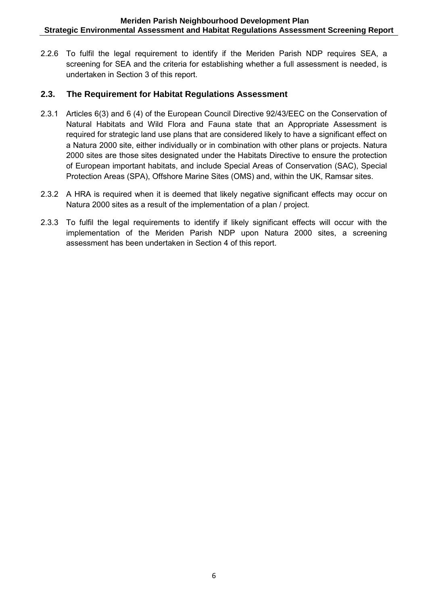2.2.6 To fulfil the legal requirement to identify if the Meriden Parish NDP requires SEA, a screening for SEA and the criteria for establishing whether a full assessment is needed, is undertaken in Section 3 of this report.

# **2.3. The Requirement for Habitat Regulations Assessment**

- 2.3.1 Articles 6(3) and 6 (4) of the European Council Directive 92/43/EEC on the Conservation of Natural Habitats and Wild Flora and Fauna state that an Appropriate Assessment is required for strategic land use plans that are considered likely to have a significant effect on a Natura 2000 site, either individually or in combination with other plans or projects. Natura 2000 sites are those sites designated under the Habitats Directive to ensure the protection of European important habitats, and include Special Areas of Conservation (SAC), Special Protection Areas (SPA), Offshore Marine Sites (OMS) and, within the UK, Ramsar sites.
- 2.3.2 A HRA is required when it is deemed that likely negative significant effects may occur on Natura 2000 sites as a result of the implementation of a plan / project.
- 2.3.3 To fulfil the legal requirements to identify if likely significant effects will occur with the implementation of the Meriden Parish NDP upon Natura 2000 sites, a screening assessment has been undertaken in Section 4 of this report.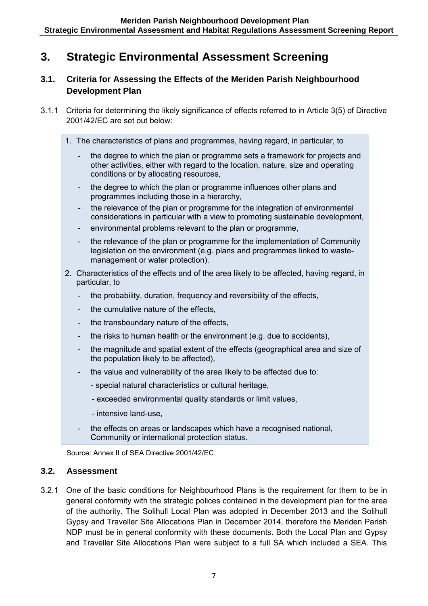# **3. Strategic Environmental Assessment Screening**

# **3.1. Criteria for Assessing the Effects of the Meriden Parish Neighbourhood Development Plan**

- 3.1.1 Criteria for determining the likely significance of effects referred to in Article 3(5) of Directive 2001/42/EC are set out below:
	- 1. The characteristics of plans and programmes, having regard, in particular, to
		- the degree to which the plan or programme sets a framework for projects and other activities, either with regard to the location, nature, size and operating conditions or by allocating resources,
		- the degree to which the plan or programme influences other plans and programmes including those in a hierarchy,
		- the relevance of the plan or programme for the integration of environmental considerations in particular with a view to promoting sustainable development,
		- environmental problems relevant to the plan or programme,
		- the relevance of the plan or programme for the implementation of Community legislation on the environment (e.g. plans and programmes linked to wastemanagement or water protection).
	- 2. Characteristics of the effects and of the area likely to be affected, having regard, in particular, to
		- the probability, duration, frequency and reversibility of the effects,
		- the cumulative nature of the effects,
		- the transboundary nature of the effects,
		- the risks to human health or the environment (e.g. due to accidents),
		- the magnitude and spatial extent of the effects (geographical area and size of the population likely to be affected),
		- the value and vulnerability of the area likely to be affected due to:
			- special natural characteristics or cultural heritage,
			- exceeded environmental quality standards or limit values,
			- intensive land-use,
		- the effects on areas or landscapes which have a recognised national, Community or international protection status.

Source: Annex II of SEA Directive 2001/42/EC

# **3.2. Assessment**

3.2.1 One of the basic conditions for Neighbourhood Plans is the requirement for them to be in general conformity with the strategic polices contained in the development plan for the area of the authority. The Solihull Local Plan was adopted in December 2013 and the Solihull Gypsy and Traveller Site Allocations Plan in December 2014, therefore the Meriden Parish NDP must be in general conformity with these documents. Both the Local Plan and Gypsy and Traveller Site Allocations Plan were subject to a full SA which included a SEA. This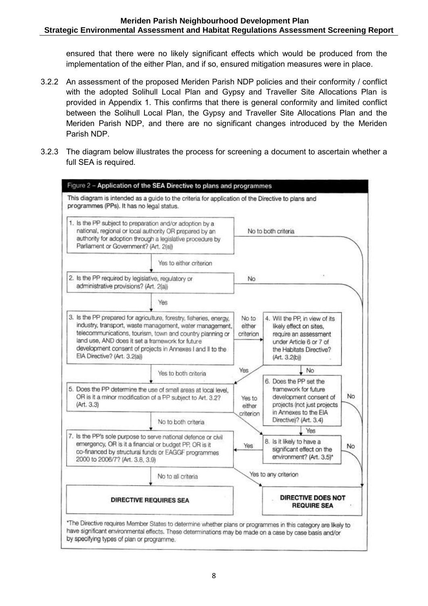ensured that there were no likely significant effects which would be produced from the implementation of the either Plan, and if so, ensured mitigation measures were in place.

- 3.2.2 An assessment of the proposed Meriden Parish NDP policies and their conformity / conflict with the adopted Solihull Local Plan and Gypsy and Traveller Site Allocations Plan is provided in Appendix 1. This confirms that there is general conformity and limited conflict between the Solihull Local Plan, the Gypsy and Traveller Site Allocations Plan and the Meriden Parish NDP, and there are no significant changes introduced by the Meriden Parish NDP.
- 3.2.3 The diagram below illustrates the process for screening a document to ascertain whether a full SEA is required.

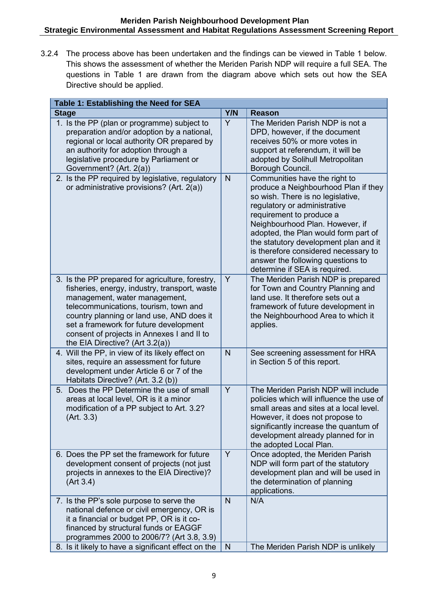3.2.4 The process above has been undertaken and the findings can be viewed in Table 1 below. This shows the assessment of whether the Meriden Parish NDP will require a full SEA. The questions in Table 1 are drawn from the diagram above which sets out how the SEA Directive should be applied.

| Table 1: Establishing the Need for SEA                                                                                                                                                                                                                                                                                                              |     |                                                                                                                                                                                                                                                                                                                                                                                                          |
|-----------------------------------------------------------------------------------------------------------------------------------------------------------------------------------------------------------------------------------------------------------------------------------------------------------------------------------------------------|-----|----------------------------------------------------------------------------------------------------------------------------------------------------------------------------------------------------------------------------------------------------------------------------------------------------------------------------------------------------------------------------------------------------------|
| <b>Stage</b>                                                                                                                                                                                                                                                                                                                                        | Y/N | <b>Reason</b>                                                                                                                                                                                                                                                                                                                                                                                            |
| 1. Is the PP (plan or programme) subject to<br>preparation and/or adoption by a national,<br>regional or local authority OR prepared by<br>an authority for adoption through a<br>legislative procedure by Parliament or<br>Government? (Art. 2(a))                                                                                                 | Y   | The Meriden Parish NDP is not a<br>DPD, however, if the document<br>receives 50% or more votes in<br>support at referendum, it will be<br>adopted by Solihull Metropolitan<br>Borough Council.                                                                                                                                                                                                           |
| 2. Is the PP required by legislative, regulatory<br>or administrative provisions? (Art. 2(a))                                                                                                                                                                                                                                                       | N   | Communities have the right to<br>produce a Neighbourhood Plan if they<br>so wish. There is no legislative,<br>regulatory or administrative<br>requirement to produce a<br>Neighbourhood Plan. However, if<br>adopted, the Plan would form part of<br>the statutory development plan and it<br>is therefore considered necessary to<br>answer the following questions to<br>determine if SEA is required. |
| 3. Is the PP prepared for agriculture, forestry,<br>fisheries, energy, industry, transport, waste<br>management, water management,<br>telecommunications, tourism, town and<br>country planning or land use, AND does it<br>set a framework for future development<br>consent of projects in Annexes I and II to<br>the EIA Directive? (Art 3.2(a)) | Y   | The Meriden Parish NDP is prepared<br>for Town and Country Planning and<br>land use. It therefore sets out a<br>framework of future development in<br>the Neighbourhood Area to which it<br>applies.                                                                                                                                                                                                     |
| 4. Will the PP, in view of its likely effect on<br>sites, require an assessment for future<br>development under Article 6 or 7 of the<br>Habitats Directive? (Art. 3.2 (b))                                                                                                                                                                         | N   | See screening assessment for HRA<br>in Section 5 of this report.                                                                                                                                                                                                                                                                                                                                         |
| 5. Does the PP Determine the use of small<br>areas at local level, OR is it a minor<br>modification of a PP subject to Art. 3.2?<br>(Art. 3.3)                                                                                                                                                                                                      | Y   | The Meriden Parish NDP will include<br>policies which will influence the use of<br>small areas and sites at a local level.<br>However, it does not propose to<br>significantly increase the quantum of<br>development already planned for in<br>the adopted Local Plan.                                                                                                                                  |
| 6. Does the PP set the framework for future<br>development consent of projects (not just<br>projects in annexes to the EIA Directive)?<br>(Art 3.4)                                                                                                                                                                                                 | Y   | Once adopted, the Meriden Parish<br>NDP will form part of the statutory<br>development plan and will be used in<br>the determination of planning<br>applications.                                                                                                                                                                                                                                        |
| 7. Is the PP's sole purpose to serve the<br>national defence or civil emergency, OR is<br>it a financial or budget PP, OR is it co-<br>financed by structural funds or EAGGF<br>programmes 2000 to 2006/7? (Art 3.8, 3.9)                                                                                                                           | N   | N/A                                                                                                                                                                                                                                                                                                                                                                                                      |
| 8. Is it likely to have a significant effect on the                                                                                                                                                                                                                                                                                                 | N   | The Meriden Parish NDP is unlikely                                                                                                                                                                                                                                                                                                                                                                       |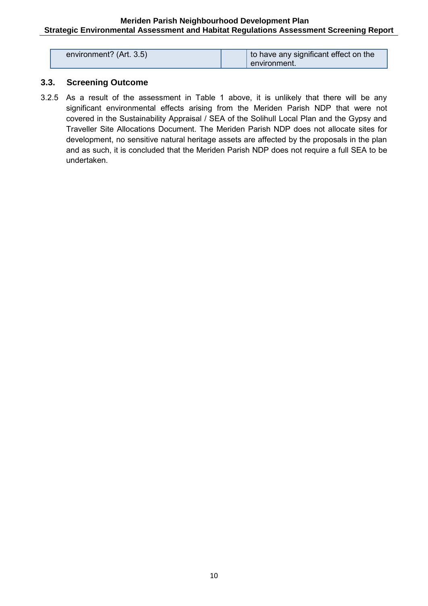| environment? (Art. 3.5) | I to have any significant effect on the |
|-------------------------|-----------------------------------------|
|                         | environment.                            |

# **3.3. Screening Outcome**

3.2.5 As a result of the assessment in Table 1 above, it is unlikely that there will be any significant environmental effects arising from the Meriden Parish NDP that were not covered in the Sustainability Appraisal / SEA of the Solihull Local Plan and the Gypsy and Traveller Site Allocations Document. The Meriden Parish NDP does not allocate sites for development, no sensitive natural heritage assets are affected by the proposals in the plan and as such, it is concluded that the Meriden Parish NDP does not require a full SEA to be undertaken.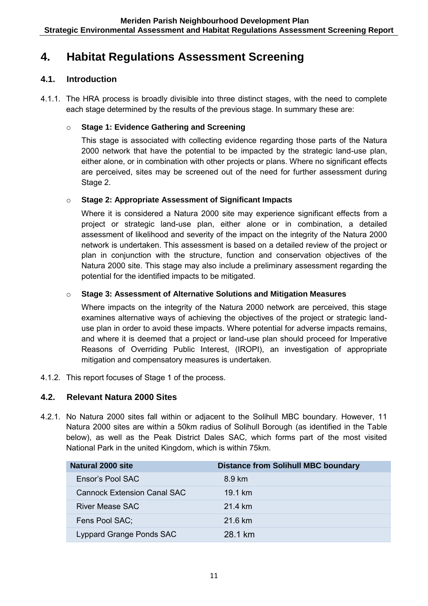# **4. Habitat Regulations Assessment Screening**

# **4.1. Introduction**

4.1.1. The HRA process is broadly divisible into three distinct stages, with the need to complete each stage determined by the results of the previous stage. In summary these are:

# o **Stage 1: Evidence Gathering and Screening**

This stage is associated with collecting evidence regarding those parts of the Natura 2000 network that have the potential to be impacted by the strategic land-use plan, either alone, or in combination with other projects or plans. Where no significant effects are perceived, sites may be screened out of the need for further assessment during Stage 2.

### o **Stage 2: Appropriate Assessment of Significant Impacts**

Where it is considered a Natura 2000 site may experience significant effects from a project or strategic land-use plan, either alone or in combination, a detailed assessment of likelihood and severity of the impact on the integrity of the Natura 2000 network is undertaken. This assessment is based on a detailed review of the project or plan in conjunction with the structure, function and conservation objectives of the Natura 2000 site. This stage may also include a preliminary assessment regarding the potential for the identified impacts to be mitigated.

### o **Stage 3: Assessment of Alternative Solutions and Mitigation Measures**

Where impacts on the integrity of the Natura 2000 network are perceived, this stage examines alternative ways of achieving the objectives of the project or strategic landuse plan in order to avoid these impacts. Where potential for adverse impacts remains, and where it is deemed that a project or land-use plan should proceed for Imperative Reasons of Overriding Public Interest, (IROPI), an investigation of appropriate mitigation and compensatory measures is undertaken.

4.1.2. This report focuses of Stage 1 of the process.

# **4.2. Relevant Natura 2000 Sites**

4.2.1. No Natura 2000 sites fall within or adjacent to the Solihull MBC boundary. However, 11 Natura 2000 sites are within a 50km radius of Solihull Borough (as identified in the Table below), as well as the Peak District Dales SAC, which forms part of the most visited National Park in the united Kingdom, which is within 75km.

| Natural 2000 site                  | <b>Distance from Solihull MBC boundary</b> |
|------------------------------------|--------------------------------------------|
| Ensor's Pool SAC                   | 8.9 km                                     |
| <b>Cannock Extension Canal SAC</b> | 19.1 km                                    |
| River Mease SAC                    | 21.4 km                                    |
| Fens Pool SAC;                     | $21.6 \text{ km}$                          |
| Lyppard Grange Ponds SAC           | 28 1 km                                    |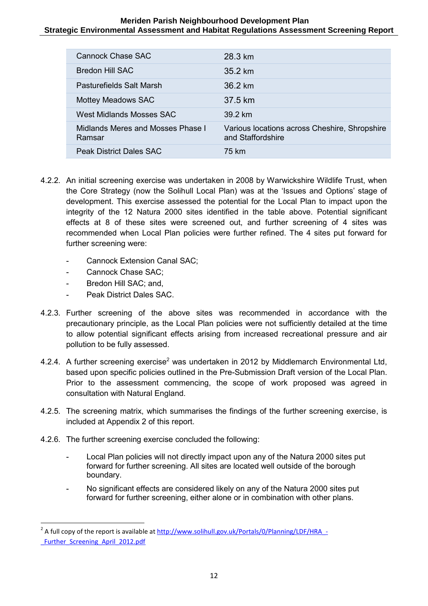| Cannock Chase SAC                           | 28.3 km                                                            |
|---------------------------------------------|--------------------------------------------------------------------|
| Bredon Hill SAC                             | $35.2 \text{ km}$                                                  |
| Pasturefields Salt Marsh                    | 36.2 km                                                            |
| <b>Mottey Meadows SAC</b>                   | 37.5 km                                                            |
| West Midlands Mosses SAC                    | 39.2 km                                                            |
| Midlands Meres and Mosses Phase I<br>Ramsar | Various locations across Cheshire, Shropshire<br>and Staffordshire |
| <b>Peak District Dales SAC</b>              | 75 km                                                              |

- 4.2.2. An initial screening exercise was undertaken in 2008 by Warwickshire Wildlife Trust, when the Core Strategy (now the Solihull Local Plan) was at the 'Issues and Options' stage of development. This exercise assessed the potential for the Local Plan to impact upon the integrity of the 12 Natura 2000 sites identified in the table above. Potential significant effects at 8 of these sites were screened out, and further screening of 4 sites was recommended when Local Plan policies were further refined. The 4 sites put forward for further screening were:
	- Cannock Extension Canal SAC;
	- Cannock Chase SAC;
	- Bredon Hill SAC; and,

**.** 

- Peak District Dales SAC.
- 4.2.3. Further screening of the above sites was recommended in accordance with the precautionary principle, as the Local Plan policies were not sufficiently detailed at the time to allow potential significant effects arising from increased recreational pressure and air pollution to be fully assessed.
- 4.2.4. A further screening exercise<sup>2</sup> was undertaken in 2012 by Middlemarch Environmental Ltd, based upon specific policies outlined in the Pre-Submission Draft version of the Local Plan. Prior to the assessment commencing, the scope of work proposed was agreed in consultation with Natural England.
- 4.2.5. The screening matrix, which summarises the findings of the further screening exercise, is included at Appendix 2 of this report.
- 4.2.6. The further screening exercise concluded the following:
	- Local Plan policies will not directly impact upon any of the Natura 2000 sites put forward for further screening. All sites are located well outside of the borough boundary.
	- No significant effects are considered likely on any of the Natura 2000 sites put forward for further screening, either alone or in combination with other plans.

<sup>&</sup>lt;sup>2</sup> A full copy of the report is available at http://www.solihull.gov.uk/Portals/0/Planning/LDF/HRA -Further Screening April 2012.pdf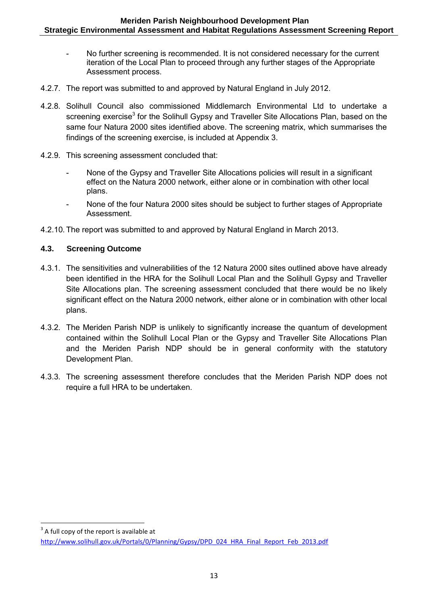- No further screening is recommended. It is not considered necessary for the current iteration of the Local Plan to proceed through any further stages of the Appropriate Assessment process.
- 4.2.7. The report was submitted to and approved by Natural England in July 2012.
- 4.2.8. Solihull Council also commissioned Middlemarch Environmental Ltd to undertake a screening exercise $^3$  for the Solihull Gypsy and Traveller Site Allocations Plan, based on the same four Natura 2000 sites identified above. The screening matrix, which summarises the findings of the screening exercise, is included at Appendix 3.
- 4.2.9. This screening assessment concluded that:
	- None of the Gypsy and Traveller Site Allocations policies will result in a significant effect on the Natura 2000 network, either alone or in combination with other local plans.
	- None of the four Natura 2000 sites should be subject to further stages of Appropriate Assessment.
- 4.2.10. The report was submitted to and approved by Natural England in March 2013.

### **4.3. Screening Outcome**

- 4.3.1. The sensitivities and vulnerabilities of the 12 Natura 2000 sites outlined above have already been identified in the HRA for the Solihull Local Plan and the Solihull Gypsy and Traveller Site Allocations plan. The screening assessment concluded that there would be no likely significant effect on the Natura 2000 network, either alone or in combination with other local plans.
- 4.3.2. The Meriden Parish NDP is unlikely to significantly increase the quantum of development contained within the Solihull Local Plan or the Gypsy and Traveller Site Allocations Plan and the Meriden Parish NDP should be in general conformity with the statutory Development Plan.
- 4.3.3. The screening assessment therefore concludes that the Meriden Parish NDP does not require a full HRA to be undertaken.

**<sup>.</sup>**  $3$  A full copy of the report is available at

[http://www.solihull.gov.uk/Portals/0/Planning/Gypsy/DPD\\_024\\_HRA\\_Final\\_Report\\_Feb\\_2013.pdf](http://www.solihull.gov.uk/Portals/0/Planning/Gypsy/DPD_024_HRA_Final_Report_Feb_2013.pdf)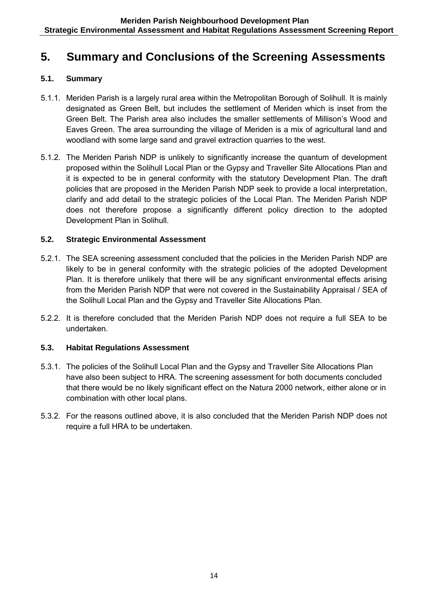# **5. Summary and Conclusions of the Screening Assessments**

# **5.1. Summary**

- 5.1.1. Meriden Parish is a largely rural area within the Metropolitan Borough of Solihull. It is mainly designated as Green Belt, but includes the settlement of Meriden which is inset from the Green Belt. The Parish area also includes the smaller settlements of Millison's Wood and Eaves Green. The area surrounding the village of Meriden is a mix of agricultural land and woodland with some large sand and gravel extraction quarries to the west.
- 5.1.2. The Meriden Parish NDP is unlikely to significantly increase the quantum of development proposed within the Solihull Local Plan or the Gypsy and Traveller Site Allocations Plan and it is expected to be in general conformity with the statutory Development Plan. The draft policies that are proposed in the Meriden Parish NDP seek to provide a local interpretation, clarify and add detail to the strategic policies of the Local Plan. The Meriden Parish NDP does not therefore propose a significantly different policy direction to the adopted Development Plan in Solihull.

# **5.2. Strategic Environmental Assessment**

- 5.2.1. The SEA screening assessment concluded that the policies in the Meriden Parish NDP are likely to be in general conformity with the strategic policies of the adopted Development Plan. It is therefore unlikely that there will be any significant environmental effects arising from the Meriden Parish NDP that were not covered in the Sustainability Appraisal / SEA of the Solihull Local Plan and the Gypsy and Traveller Site Allocations Plan.
- 5.2.2. It is therefore concluded that the Meriden Parish NDP does not require a full SEA to be undertaken.

# **5.3. Habitat Regulations Assessment**

- 5.3.1. The policies of the Solihull Local Plan and the Gypsy and Traveller Site Allocations Plan have also been subject to HRA. The screening assessment for both documents concluded that there would be no likely significant effect on the Natura 2000 network, either alone or in combination with other local plans.
- 5.3.2. For the reasons outlined above, it is also concluded that the Meriden Parish NDP does not require a full HRA to be undertaken.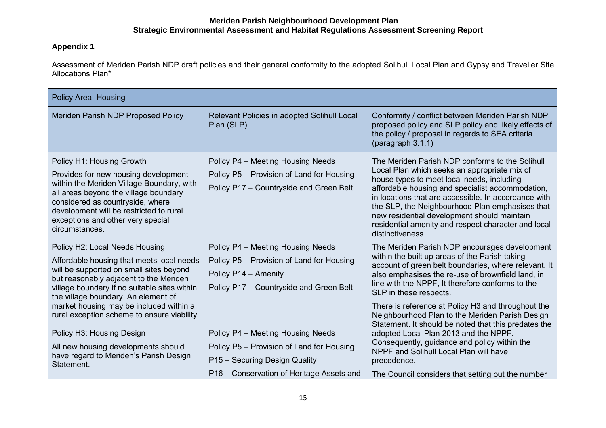# **Appendix 1**

Assessment of Meriden Parish NDP draft policies and their general conformity to the adopted Solihull Local Plan and Gypsy and Traveller Site Allocations Plan\*

| <b>Policy Area: Housing</b>                                                                                                                                                                                                                                                                                                                       |                                                                                                                                                              |                                                                                                                                                                                                                                                                                                                                                                                                                                        |  |  |
|---------------------------------------------------------------------------------------------------------------------------------------------------------------------------------------------------------------------------------------------------------------------------------------------------------------------------------------------------|--------------------------------------------------------------------------------------------------------------------------------------------------------------|----------------------------------------------------------------------------------------------------------------------------------------------------------------------------------------------------------------------------------------------------------------------------------------------------------------------------------------------------------------------------------------------------------------------------------------|--|--|
| Meriden Parish NDP Proposed Policy                                                                                                                                                                                                                                                                                                                | Relevant Policies in adopted Solihull Local<br>Plan (SLP)                                                                                                    | Conformity / conflict between Meriden Parish NDP<br>proposed policy and SLP policy and likely effects of<br>the policy / proposal in regards to SEA criteria<br>(paragraph 3.1.1)                                                                                                                                                                                                                                                      |  |  |
| Policy H1: Housing Growth<br>Provides for new housing development<br>within the Meriden Village Boundary, with<br>all areas beyond the village boundary<br>considered as countryside, where<br>development will be restricted to rural<br>exceptions and other very special<br>circumstances.                                                     | Policy P4 - Meeting Housing Needs<br>Policy P5 - Provision of Land for Housing<br>Policy P17 - Countryside and Green Belt                                    | The Meriden Parish NDP conforms to the Solihull<br>Local Plan which seeks an appropriate mix of<br>house types to meet local needs, including<br>affordable housing and specialist accommodation,<br>in locations that are accessible. In accordance with<br>the SLP, the Neighbourhood Plan emphasises that<br>new residential development should maintain<br>residential amenity and respect character and local<br>distinctiveness. |  |  |
| Policy H2: Local Needs Housing<br>Affordable housing that meets local needs<br>will be supported on small sites beyond<br>but reasonably adjacent to the Meriden<br>village boundary if no suitable sites within<br>the village boundary. An element of<br>market housing may be included within a<br>rural exception scheme to ensure viability. | Policy P4 - Meeting Housing Needs<br>Policy P5 - Provision of Land for Housing<br>Policy P14 - Amenity<br>Policy P17 - Countryside and Green Belt            | The Meriden Parish NDP encourages development<br>within the built up areas of the Parish taking<br>account of green belt boundaries, where relevant. It<br>also emphasises the re-use of brownfield land, in<br>line with the NPPF, It therefore conforms to the<br>SLP in these respects.<br>There is reference at Policy H3 and throughout the<br>Neighbourhood Plan to the Meriden Parish Design                                    |  |  |
| Policy H3: Housing Design<br>All new housing developments should<br>have regard to Meriden's Parish Design<br>Statement.                                                                                                                                                                                                                          | Policy P4 - Meeting Housing Needs<br>Policy P5 - Provision of Land for Housing<br>P15 - Securing Design Quality<br>P16 – Conservation of Heritage Assets and | Statement. It should be noted that this predates the<br>adopted Local Plan 2013 and the NPPF.<br>Consequently, guidance and policy within the<br>NPPF and Solihull Local Plan will have<br>precedence.<br>The Council considers that setting out the number                                                                                                                                                                            |  |  |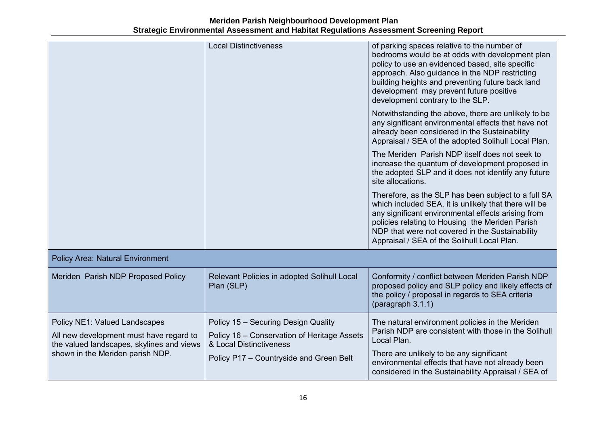**Meriden Parish Neighbourhood Development Plan Strategic Environmental Assessment and Habitat Regulations Assessment Screening Report** 

|                                                                                                                                                                  | <b>Local Distinctiveness</b>                                                                                                                             | of parking spaces relative to the number of<br>bedrooms would be at odds with development plan<br>policy to use an evidenced based, site specific<br>approach. Also guidance in the NDP restricting<br>building heights and preventing future back land<br>development may prevent future positive<br>development contrary to the SLP. |
|------------------------------------------------------------------------------------------------------------------------------------------------------------------|----------------------------------------------------------------------------------------------------------------------------------------------------------|----------------------------------------------------------------------------------------------------------------------------------------------------------------------------------------------------------------------------------------------------------------------------------------------------------------------------------------|
|                                                                                                                                                                  |                                                                                                                                                          | Notwithstanding the above, there are unlikely to be<br>any significant environmental effects that have not<br>already been considered in the Sustainability<br>Appraisal / SEA of the adopted Solihull Local Plan.                                                                                                                     |
|                                                                                                                                                                  |                                                                                                                                                          | The Meriden Parish NDP itself does not seek to<br>increase the quantum of development proposed in<br>the adopted SLP and it does not identify any future<br>site allocations.                                                                                                                                                          |
|                                                                                                                                                                  |                                                                                                                                                          | Therefore, as the SLP has been subject to a full SA<br>which included SEA, it is unlikely that there will be<br>any significant environmental effects arising from<br>policies relating to Housing the Meriden Parish<br>NDP that were not covered in the Sustainability<br>Appraisal / SEA of the Solihull Local Plan.                |
| <b>Policy Area: Natural Environment</b>                                                                                                                          |                                                                                                                                                          |                                                                                                                                                                                                                                                                                                                                        |
| Meriden Parish NDP Proposed Policy                                                                                                                               | Relevant Policies in adopted Solihull Local<br>Plan (SLP)                                                                                                | Conformity / conflict between Meriden Parish NDP<br>proposed policy and SLP policy and likely effects of<br>the policy / proposal in regards to SEA criteria<br>(paragraph 3.1.1)                                                                                                                                                      |
| <b>Policy NE1: Valued Landscapes</b><br>All new development must have regard to<br>the valued landscapes, skylines and views<br>shown in the Meriden parish NDP. | Policy 15 - Securing Design Quality<br>Policy 16 - Conservation of Heritage Assets<br>& Local Distinctiveness<br>Policy P17 - Countryside and Green Belt | The natural environment policies in the Meriden<br>Parish NDP are consistent with those in the Solihull<br>Local Plan.<br>There are unlikely to be any significant<br>environmental effects that have not already been<br>considered in the Sustainability Appraisal / SEA of                                                          |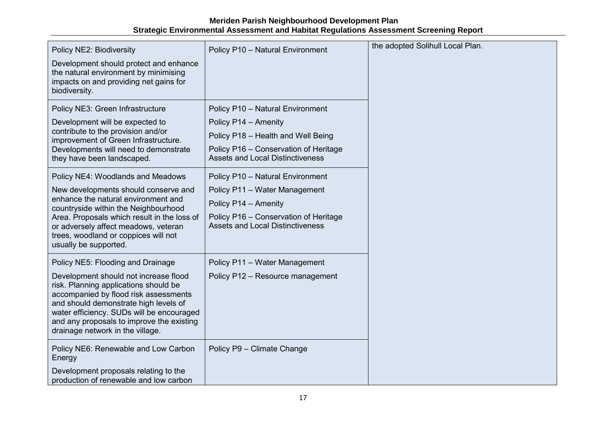|                                                                                                                                                                                                                                                                                                |                                                                                  | the adopted Solihull Local Plan. |
|------------------------------------------------------------------------------------------------------------------------------------------------------------------------------------------------------------------------------------------------------------------------------------------------|----------------------------------------------------------------------------------|----------------------------------|
| Policy NE2: Biodiversity                                                                                                                                                                                                                                                                       | Policy P10 - Natural Environment                                                 |                                  |
| Development should protect and enhance<br>the natural environment by minimising<br>impacts on and providing net gains for<br>biodiversity.                                                                                                                                                     |                                                                                  |                                  |
| Policy NE3: Green Infrastructure                                                                                                                                                                                                                                                               | Policy P10 - Natural Environment                                                 |                                  |
| Development will be expected to                                                                                                                                                                                                                                                                | Policy P14 - Amenity                                                             |                                  |
| contribute to the provision and/or<br>improvement of Green Infrastructure.                                                                                                                                                                                                                     | Policy P18 - Health and Well Being                                               |                                  |
| Developments will need to demonstrate<br>they have been landscaped.                                                                                                                                                                                                                            | Policy P16 - Conservation of Heritage<br><b>Assets and Local Distinctiveness</b> |                                  |
| Policy NE4: Woodlands and Meadows                                                                                                                                                                                                                                                              | Policy P10 - Natural Environment                                                 |                                  |
| New developments should conserve and                                                                                                                                                                                                                                                           | Policy P11 - Water Management                                                    |                                  |
| enhance the natural environment and<br>countryside within the Neighbourhood                                                                                                                                                                                                                    | Policy P14 - Amenity                                                             |                                  |
| Area. Proposals which result in the loss of<br>or adversely affect meadows, veteran<br>trees, woodland or coppices will not<br>usually be supported.                                                                                                                                           | Policy P16 - Conservation of Heritage<br><b>Assets and Local Distinctiveness</b> |                                  |
| Policy NE5: Flooding and Drainage                                                                                                                                                                                                                                                              | Policy P11 - Water Management                                                    |                                  |
| Development should not increase flood<br>risk. Planning applications should be<br>accompanied by flood risk assessments<br>and should demonstrate high levels of<br>water efficiency. SUDs will be encouraged<br>and any proposals to improve the existing<br>drainage network in the village. | Policy P12 - Resource management                                                 |                                  |
| Policy NE6: Renewable and Low Carbon<br>Energy                                                                                                                                                                                                                                                 | Policy P9 - Climate Change                                                       |                                  |
| Development proposals relating to the<br>production of renewable and low carbon                                                                                                                                                                                                                |                                                                                  |                                  |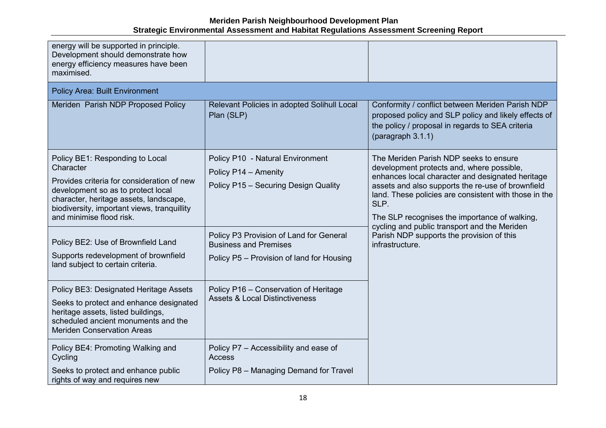| energy will be supported in principle.<br>Development should demonstrate how<br>energy efficiency measures have been<br>maximised.<br><b>Policy Area: Built Environment</b>                                                                           |                                                                                                                      |                                                                                                                                                                                                                                                                                                                |
|-------------------------------------------------------------------------------------------------------------------------------------------------------------------------------------------------------------------------------------------------------|----------------------------------------------------------------------------------------------------------------------|----------------------------------------------------------------------------------------------------------------------------------------------------------------------------------------------------------------------------------------------------------------------------------------------------------------|
| Meriden Parish NDP Proposed Policy                                                                                                                                                                                                                    | Relevant Policies in adopted Solihull Local<br>Plan (SLP)                                                            | Conformity / conflict between Meriden Parish NDP<br>proposed policy and SLP policy and likely effects of<br>the policy / proposal in regards to SEA criteria<br>(paragraph 3.1.1)                                                                                                                              |
| Policy BE1: Responding to Local<br>Character<br>Provides criteria for consideration of new<br>development so as to protect local<br>character, heritage assets, landscape,<br>biodiversity, important views, tranquillity<br>and minimise flood risk. | Policy P10 - Natural Environment<br>Policy P14 - Amenity<br>Policy P15 - Securing Design Quality                     | The Meriden Parish NDP seeks to ensure<br>development protects and, where possible,<br>enhances local character and designated heritage<br>assets and also supports the re-use of brownfield<br>land. These policies are consistent with those in the<br>SLP.<br>The SLP recognises the importance of walking, |
| Policy BE2: Use of Brownfield Land<br>Supports redevelopment of brownfield<br>land subject to certain criteria.                                                                                                                                       | Policy P3 Provision of Land for General<br><b>Business and Premises</b><br>Policy P5 - Provision of land for Housing | cycling and public transport and the Meriden<br>Parish NDP supports the provision of this<br>infrastructure.                                                                                                                                                                                                   |
| Policy BE3: Designated Heritage Assets<br>Seeks to protect and enhance designated<br>heritage assets, listed buildings,<br>scheduled ancient monuments and the<br><b>Meriden Conservation Areas</b>                                                   | Policy P16 - Conservation of Heritage<br><b>Assets &amp; Local Distinctiveness</b>                                   |                                                                                                                                                                                                                                                                                                                |
| Policy BE4: Promoting Walking and<br>Cycling<br>Seeks to protect and enhance public<br>rights of way and requires new                                                                                                                                 | Policy P7 - Accessibility and ease of<br><b>Access</b><br>Policy P8 - Managing Demand for Travel                     |                                                                                                                                                                                                                                                                                                                |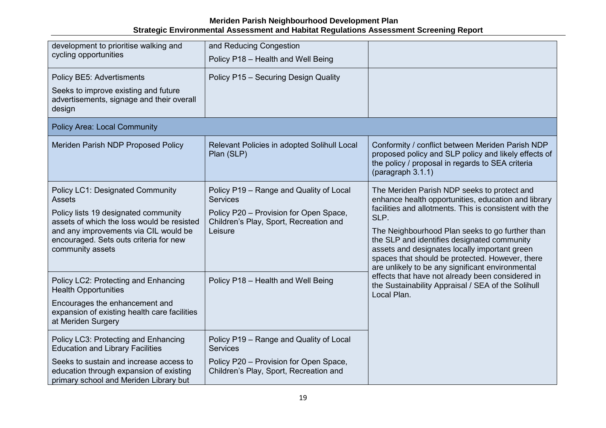| development to prioritise walking and<br>cycling opportunities                                                                                                                                                                                        | and Reducing Congestion<br>Policy P18 - Health and Well Being                                                                                             |                                                                                                                                                                                                                                                                                                                                                                                                                                |  |
|-------------------------------------------------------------------------------------------------------------------------------------------------------------------------------------------------------------------------------------------------------|-----------------------------------------------------------------------------------------------------------------------------------------------------------|--------------------------------------------------------------------------------------------------------------------------------------------------------------------------------------------------------------------------------------------------------------------------------------------------------------------------------------------------------------------------------------------------------------------------------|--|
| Policy BE5: Advertisments<br>Seeks to improve existing and future<br>advertisements, signage and their overall<br>design                                                                                                                              | Policy P15 - Securing Design Quality                                                                                                                      |                                                                                                                                                                                                                                                                                                                                                                                                                                |  |
| <b>Policy Area: Local Community</b>                                                                                                                                                                                                                   |                                                                                                                                                           |                                                                                                                                                                                                                                                                                                                                                                                                                                |  |
| Meriden Parish NDP Proposed Policy                                                                                                                                                                                                                    | Relevant Policies in adopted Solihull Local<br>Plan (SLP)                                                                                                 | Conformity / conflict between Meriden Parish NDP<br>proposed policy and SLP policy and likely effects of<br>the policy / proposal in regards to SEA criteria<br>(paragraph 3.1.1)                                                                                                                                                                                                                                              |  |
| <b>Policy LC1: Designated Community</b><br><b>Assets</b><br>Policy lists 19 designated community<br>assets of which the loss would be resisted<br>and any improvements via CIL would be<br>encouraged. Sets outs criteria for new<br>community assets | Policy P19 - Range and Quality of Local<br><b>Services</b><br>Policy P20 - Provision for Open Space,<br>Children's Play, Sport, Recreation and<br>Leisure | The Meriden Parish NDP seeks to protect and<br>enhance health opportunities, education and library<br>facilities and allotments. This is consistent with the<br>SLP.<br>The Neighbourhood Plan seeks to go further than<br>the SLP and identifies designated community<br>assets and designates locally important green<br>spaces that should be protected. However, there<br>are unlikely to be any significant environmental |  |
| Policy LC2: Protecting and Enhancing<br><b>Health Opportunities</b><br>Encourages the enhancement and<br>expansion of existing health care facilities<br>at Meriden Surgery                                                                           | Policy P18 - Health and Well Being                                                                                                                        | effects that have not already been considered in<br>the Sustainability Appraisal / SEA of the Solihull<br>Local Plan.                                                                                                                                                                                                                                                                                                          |  |
| Policy LC3: Protecting and Enhancing<br><b>Education and Library Facilities</b>                                                                                                                                                                       | Policy P19 - Range and Quality of Local<br><b>Services</b>                                                                                                |                                                                                                                                                                                                                                                                                                                                                                                                                                |  |
| Seeks to sustain and increase access to<br>education through expansion of existing<br>primary school and Meriden Library but                                                                                                                          | Policy P20 - Provision for Open Space,<br>Children's Play, Sport, Recreation and                                                                          |                                                                                                                                                                                                                                                                                                                                                                                                                                |  |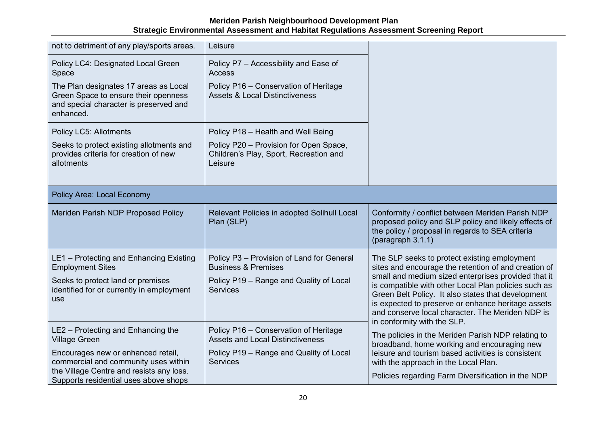| not to detriment of any play/sports areas.                                                                                           | Leisure                                                                                     |                                                                                                                                                                                                                                                                                                            |  |
|--------------------------------------------------------------------------------------------------------------------------------------|---------------------------------------------------------------------------------------------|------------------------------------------------------------------------------------------------------------------------------------------------------------------------------------------------------------------------------------------------------------------------------------------------------------|--|
| Policy LC4: Designated Local Green<br>Space                                                                                          | Policy P7 - Accessibility and Ease of<br>Access                                             |                                                                                                                                                                                                                                                                                                            |  |
| The Plan designates 17 areas as Local<br>Green Space to ensure their openness<br>and special character is preserved and<br>enhanced. | Policy P16 - Conservation of Heritage<br><b>Assets &amp; Local Distinctiveness</b>          |                                                                                                                                                                                                                                                                                                            |  |
| Policy LC5: Allotments                                                                                                               | Policy P18 - Health and Well Being                                                          |                                                                                                                                                                                                                                                                                                            |  |
| Seeks to protect existing allotments and<br>provides criteria for creation of new<br>allotments                                      | Policy P20 - Provision for Open Space,<br>Children's Play, Sport, Recreation and<br>Leisure |                                                                                                                                                                                                                                                                                                            |  |
| <b>Policy Area: Local Economy</b>                                                                                                    |                                                                                             |                                                                                                                                                                                                                                                                                                            |  |
| Meriden Parish NDP Proposed Policy                                                                                                   | Relevant Policies in adopted Solihull Local<br>Plan (SLP)                                   | Conformity / conflict between Meriden Parish NDP<br>proposed policy and SLP policy and likely effects of<br>the policy / proposal in regards to SEA criteria<br>(paragraph 3.1.1)                                                                                                                          |  |
| LE1 - Protecting and Enhancing Existing<br><b>Employment Sites</b>                                                                   | Policy P3 - Provision of Land for General<br><b>Business &amp; Premises</b>                 | The SLP seeks to protect existing employment<br>sites and encourage the retention of and creation of                                                                                                                                                                                                       |  |
| Seeks to protect land or premises<br>identified for or currently in employment<br>use                                                | Policy P19 - Range and Quality of Local<br><b>Services</b>                                  | small and medium sized enterprises provided that it<br>is compatible with other Local Plan policies such as<br>Green Belt Policy. It also states that development<br>is expected to preserve or enhance heritage assets<br>and conserve local character. The Meriden NDP is<br>in conformity with the SLP. |  |
| LE2 - Protecting and Enhancing the<br><b>Village Green</b>                                                                           | Policy P16 - Conservation of Heritage<br><b>Assets and Local Distinctiveness</b>            | The policies in the Meriden Parish NDP relating to<br>broadband, home working and encouraging new                                                                                                                                                                                                          |  |
| Encourages new or enhanced retail,<br>commercial and community uses within                                                           | Policy P19 - Range and Quality of Local<br><b>Services</b>                                  | leisure and tourism based activities is consistent<br>with the approach in the Local Plan.                                                                                                                                                                                                                 |  |
| the Village Centre and resists any loss.<br>Supports residential uses above shops                                                    |                                                                                             | Policies regarding Farm Diversification in the NDP                                                                                                                                                                                                                                                         |  |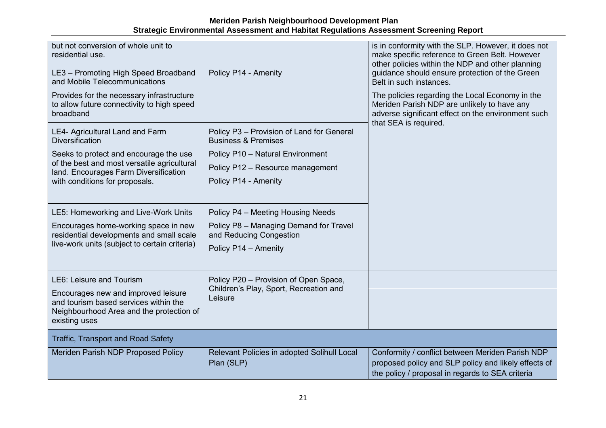| but not conversion of whole unit to<br>residential use.                                                                                                               |                                                                                            | is in conformity with the SLP. However, it does not<br>make specific reference to Green Belt. However<br>other policies within the NDP and other planning                     |
|-----------------------------------------------------------------------------------------------------------------------------------------------------------------------|--------------------------------------------------------------------------------------------|-------------------------------------------------------------------------------------------------------------------------------------------------------------------------------|
| LE3 - Promoting High Speed Broadband<br>and Mobile Telecommunications                                                                                                 | Policy P14 - Amenity                                                                       | guidance should ensure protection of the Green<br>Belt in such instances.                                                                                                     |
| Provides for the necessary infrastructure<br>to allow future connectivity to high speed<br>broadband                                                                  |                                                                                            | The policies regarding the Local Economy in the<br>Meriden Parish NDP are unlikely to have any<br>adverse significant effect on the environment such<br>that SEA is required. |
| LE4- Agricultural Land and Farm<br><b>Diversification</b>                                                                                                             | Policy P3 - Provision of Land for General<br><b>Business &amp; Premises</b>                |                                                                                                                                                                               |
| Seeks to protect and encourage the use                                                                                                                                | Policy P10 - Natural Environment                                                           |                                                                                                                                                                               |
| of the best and most versatile agricultural<br>land. Encourages Farm Diversification                                                                                  | Policy P12 - Resource management                                                           |                                                                                                                                                                               |
| with conditions for proposals.                                                                                                                                        | Policy P14 - Amenity                                                                       |                                                                                                                                                                               |
|                                                                                                                                                                       |                                                                                            |                                                                                                                                                                               |
| LE5: Homeworking and Live-Work Units                                                                                                                                  | Policy P4 - Meeting Housing Needs                                                          |                                                                                                                                                                               |
| Encourages home-working space in new<br>residential developments and small scale<br>live-work units (subject to certain criteria)                                     | Policy P8 - Managing Demand for Travel<br>and Reducing Congestion<br>Policy P14 - Amenity  |                                                                                                                                                                               |
|                                                                                                                                                                       |                                                                                            |                                                                                                                                                                               |
| LE6: Leisure and Tourism<br>Encourages new and improved leisure<br>and tourism based services within the<br>Neighbourhood Area and the protection of<br>existing uses | Policy P20 - Provision of Open Space,<br>Children's Play, Sport, Recreation and<br>Leisure |                                                                                                                                                                               |
| <b>Traffic, Transport and Road Safety</b>                                                                                                                             |                                                                                            |                                                                                                                                                                               |
| Meriden Parish NDP Proposed Policy                                                                                                                                    | Relevant Policies in adopted Solihull Local<br>Plan (SLP)                                  | Conformity / conflict between Meriden Parish NDP<br>proposed policy and SLP policy and likely effects of<br>the policy / proposal in regards to SEA criteria                  |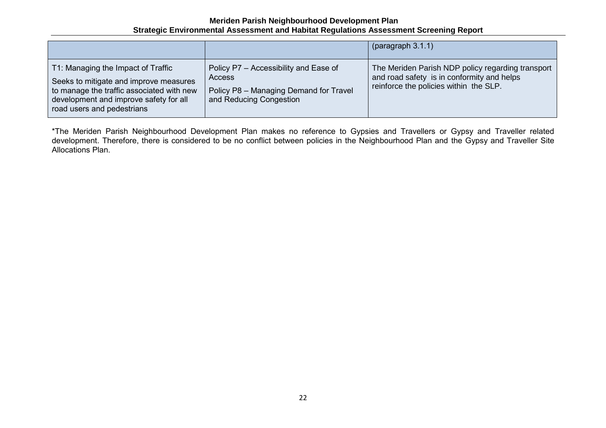|                                                                                                                                                                                                   |                                                                                                                             | (paragraph 3.1.1)                                                                                                                         |
|---------------------------------------------------------------------------------------------------------------------------------------------------------------------------------------------------|-----------------------------------------------------------------------------------------------------------------------------|-------------------------------------------------------------------------------------------------------------------------------------------|
| T1: Managing the Impact of Traffic<br>Seeks to mitigate and improve measures<br>to manage the traffic associated with new<br>development and improve safety for all<br>road users and pedestrians | Policy P7 - Accessibility and Ease of<br><b>Access</b><br>Policy P8 - Managing Demand for Travel<br>and Reducing Congestion | The Meriden Parish NDP policy regarding transport<br>and road safety is in conformity and helps<br>reinforce the policies within the SLP. |

\*The Meriden Parish Neighbourhood Development Plan makes no reference to Gypsies and Travellers or Gypsy and Traveller related development. Therefore, there is considered to be no conflict between policies in the Neighbourhood Plan and the Gypsy and Traveller Site Allocations Plan.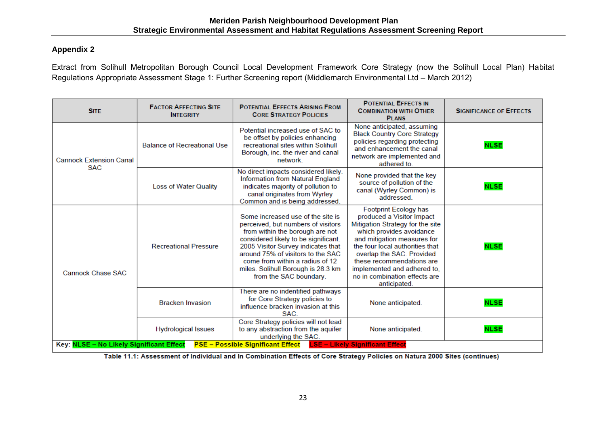#### **Appendix 2**

Extract from Solihull Metropolitan Borough Council Local Development Framework Core Strategy (now the Solihull Local Plan) Habitat Regulations Appropriate Assessment Stage 1: Further Screening report (Middlemarch Environmental Ltd – March 2012)

| <b>SITE</b>                                                          | <b>FACTOR AFFECTING SITE</b><br><b>INTEGRITY</b> | <b>POTENTIAL EFFECTS ARISING FROM</b><br><b>CORE STRATEGY POLICIES</b>                                                                                                                                                                                                                                                           | <b>POTENTIAL EFFECTS IN</b><br><b>COMBINATION WITH OTHER</b><br><b>PLANS</b>                                                                                                                                                                                                                                                   | <b>SIGNIFICANCE OF EFFECTS</b> |
|----------------------------------------------------------------------|--------------------------------------------------|----------------------------------------------------------------------------------------------------------------------------------------------------------------------------------------------------------------------------------------------------------------------------------------------------------------------------------|--------------------------------------------------------------------------------------------------------------------------------------------------------------------------------------------------------------------------------------------------------------------------------------------------------------------------------|--------------------------------|
| <b>Cannock Extension Canal</b><br><b>SAC</b>                         | <b>Balance of Recreational Use</b>               | Potential increased use of SAC to<br>be offset by policies enhancing<br>recreational sites within Solihull<br>Borough, inc. the river and canal<br>network.                                                                                                                                                                      | None anticipated, assuming<br><b>Black Country Core Strategy</b><br>policies regarding protecting<br>and enhancement the canal<br>network are implemented and<br>adhered to.                                                                                                                                                   | <b>NLSE</b>                    |
|                                                                      | Loss of Water Quality                            | No direct impacts considered likely.<br>Information from Natural England<br>indicates majority of pollution to<br>canal originates from Wyrley<br>Common and is being addressed.                                                                                                                                                 | None provided that the key<br>source of pollution of the<br>canal (Wyrley Common) is<br>addressed.                                                                                                                                                                                                                             | <b>NLSE</b>                    |
| <b>Cannock Chase SAC</b><br>Key: NLSE - No Likely Significant Effect | <b>Recreational Pressure</b>                     | Some increased use of the site is<br>perceived, but numbers of visitors<br>from within the borough are not<br>considered likely to be significant.<br>2005 Visitor Survey indicates that<br>around 75% of visitors to the SAC<br>come from within a radius of 12<br>miles. Solihull Borough is 28.3 km<br>from the SAC boundary. | Footprint Ecology has<br>produced a Visitor Impact<br>Mitigation Strategy for the site<br>which provides avoidance<br>and mitigation measures for<br>the four local authorities that<br>overlap the SAC. Provided<br>these recommendations are<br>implemented and adhered to.<br>no in combination effects are<br>anticipated. | <b>NLSE</b>                    |
|                                                                      | <b>Bracken Invasion</b>                          | There are no indentified pathways<br>for Core Strategy policies to<br>influence bracken invasion at this<br>SAC.                                                                                                                                                                                                                 | None anticipated.                                                                                                                                                                                                                                                                                                              | <b>NLSE</b>                    |
|                                                                      | <b>Hydrological Issues</b>                       | Core Strategy policies will not lead<br>to any abstraction from the aquifer<br>underlying the SAC.<br><b>PSE - Possible Significant Effect</b>                                                                                                                                                                                   | None anticipated.<br><b>LSE - Likely Significant Effect</b>                                                                                                                                                                                                                                                                    | <b>NLSE</b>                    |

Table 11.1: Assessment of Individual and In Combination Effects of Core Strategy Policies on Natura 2000 Sites (continues)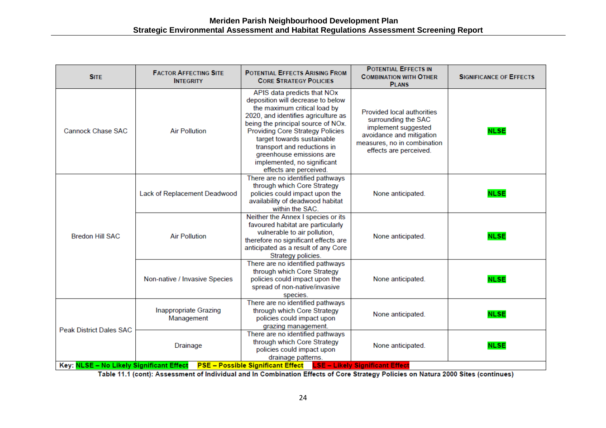| <b>SITE</b>                                                                                                   | <b>FACTOR AFFECTING SITE</b><br><b>INTEGRITY</b> | <b>POTENTIAL EFFECTS ARISING FROM</b><br><b>CORE STRATEGY POLICIES</b>                                                                                                                                                                                                                                                                                                     | <b>POTENTIAL EFFECTS IN</b><br><b>COMBINATION WITH OTHER</b><br><b>PLANS</b>                                                                                         | <b>SIGNIFICANCE OF EFFECTS</b> |
|---------------------------------------------------------------------------------------------------------------|--------------------------------------------------|----------------------------------------------------------------------------------------------------------------------------------------------------------------------------------------------------------------------------------------------------------------------------------------------------------------------------------------------------------------------------|----------------------------------------------------------------------------------------------------------------------------------------------------------------------|--------------------------------|
| <b>Cannock Chase SAC</b>                                                                                      | <b>Air Pollution</b>                             | APIS data predicts that NOx<br>deposition will decrease to below<br>the maximum critical load by<br>2020, and identifies agriculture as<br>being the principal source of NOx.<br><b>Providing Core Strategy Policies</b><br>target towards sustainable<br>transport and reductions in<br>greenhouse emissions are<br>implemented, no significant<br>effects are perceived. | <b>Provided local authorities</b><br>surrounding the SAC<br>implement suggested<br>avoidance and mitigation<br>measures, no in combination<br>effects are perceived. | <b>NLSE</b>                    |
| <b>Bredon Hill SAC</b>                                                                                        | Lack of Replacement Deadwood                     | There are no identified pathways<br>through which Core Strategy<br>policies could impact upon the<br>availability of deadwood habitat<br>within the SAC.                                                                                                                                                                                                                   | None anticipated.                                                                                                                                                    | <b>NLSE</b>                    |
|                                                                                                               | <b>Air Pollution</b>                             | Neither the Annex I species or its<br>favoured habitat are particularly<br>vulnerable to air pollution,<br>therefore no significant effects are<br>anticipated as a result of any Core<br>Strategy policies.                                                                                                                                                               | None anticipated.                                                                                                                                                    | <b>NLSE</b>                    |
|                                                                                                               | Non-native / Invasive Species                    | There are no identified pathways<br>through which Core Strategy<br>policies could impact upon the<br>spread of non-native/invasive<br>species.                                                                                                                                                                                                                             | None anticipated.                                                                                                                                                    | <b>NLSE</b>                    |
| <b>Peak District Dales SAC</b>                                                                                | <b>Inappropriate Grazing</b><br>Management       | There are no identified pathways<br>through which Core Strategy<br>policies could impact upon<br>grazing management.                                                                                                                                                                                                                                                       | None anticipated.                                                                                                                                                    | <b>NLSE</b>                    |
|                                                                                                               | <b>Drainage</b>                                  | There are no identified pathways<br>through which Core Strategy<br>policies could impact upon<br>drainage patterns.                                                                                                                                                                                                                                                        | None anticipated.                                                                                                                                                    | <b>NLSE</b>                    |
| PSE - Possible Significant Effect LSE - Likely Significant Effect<br>Key: NLSE - No Likely Significant Effect |                                                  |                                                                                                                                                                                                                                                                                                                                                                            |                                                                                                                                                                      |                                |

Table 11.1 (cont): Assessment of Individual and In Combination Effects of Core Strategy Policies on Natura 2000 Sites (continues)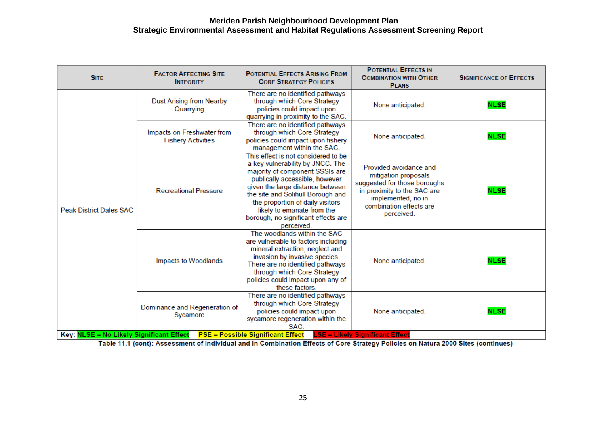| <b>SITE</b>                                                                                                                    | <b>FACTOR AFFECTING SITE</b><br><b>INTEGRITY</b>        | <b>POTENTIAL EFFECTS ARISING FROM</b><br><b>CORE STRATEGY POLICIES</b>                                                                                                                                                                                                                                                                       | <b>POTENTIAL EFFECTS IN</b><br><b>COMBINATION WITH OTHER</b><br><b>PLANS</b>                                                                                                 | <b>SIGNIFICANCE OF EFFECTS</b> |
|--------------------------------------------------------------------------------------------------------------------------------|---------------------------------------------------------|----------------------------------------------------------------------------------------------------------------------------------------------------------------------------------------------------------------------------------------------------------------------------------------------------------------------------------------------|------------------------------------------------------------------------------------------------------------------------------------------------------------------------------|--------------------------------|
| <b>Peak District Dales SAC</b>                                                                                                 | <b>Dust Arising from Nearby</b><br>Quarrying            | There are no identified pathways<br>through which Core Strategy<br>policies could impact upon<br>quarrying in proximity to the SAC.                                                                                                                                                                                                          | None anticipated.                                                                                                                                                            | <b>NLSE</b>                    |
|                                                                                                                                | Impacts on Freshwater from<br><b>Fishery Activities</b> | There are no identified pathways<br>through which Core Strategy<br>policies could impact upon fishery<br>management within the SAC.                                                                                                                                                                                                          | None anticipated.                                                                                                                                                            | <b>NLSE</b>                    |
|                                                                                                                                | <b>Recreational Pressure</b>                            | This effect is not considered to be<br>a key vulnerability by JNCC. The<br>majority of component SSSIs are<br>publically accessible, however<br>given the large distance between<br>the site and Solihull Borough and<br>the proportion of daily visitors<br>likely to emanate from the<br>borough, no significant effects are<br>perceived. | Provided avoidance and<br>mitigation proposals<br>suggested for those boroughs<br>in proximity to the SAC are<br>implemented, no in<br>combination effects are<br>perceived. | <b>NLSE</b>                    |
|                                                                                                                                | Impacts to Woodlands                                    | The woodlands within the SAC<br>are vulnerable to factors including<br>mineral extraction, neglect and<br>invasion by invasive species.<br>There are no identified pathways<br>through which Core Strategy<br>policies could impact upon any of<br>these factors.                                                                            | None anticipated.                                                                                                                                                            | <b>NLSE</b>                    |
|                                                                                                                                | Dominance and Regeneration of<br>Sycamore               | There are no identified pathways<br>through which Core Strategy<br>policies could impact upon<br>sycamore regeneration within the<br>SAC.                                                                                                                                                                                                    | None anticipated.                                                                                                                                                            | <b>NLSE</b>                    |
| <b>LSE - Likely Significant Effect</b><br>Key: NLSE - No Likely Significant Effect<br><b>PSE - Possible Significant Effect</b> |                                                         |                                                                                                                                                                                                                                                                                                                                              |                                                                                                                                                                              |                                |

Table 11.1 (cont): Assessment of Individual and In Combination Effects of Core Strategy Policies on Natura 2000 Sites (continues)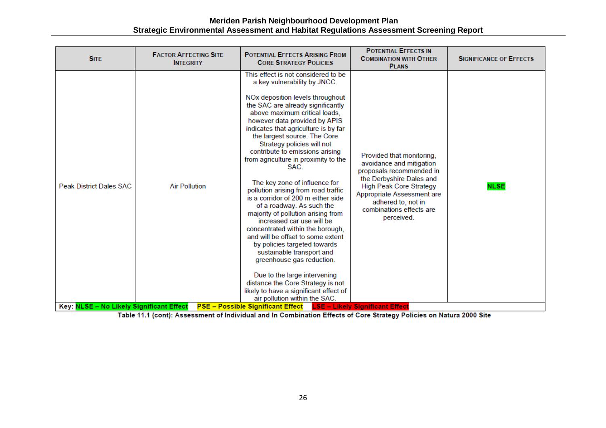| <b>SITE</b>                              | <b>FACTOR AFFECTING SITE</b><br><b>INTEGRITY</b> | <b>POTENTIAL EFFECTS ARISING FROM</b><br><b>CORE STRATEGY POLICIES</b>                                                                                                                                                                                                                                                                                                                                                                                                                                                                                                                                                                                                                                                                                                                                                                                                                                                                   | <b>POTENTIAL EFFECTS IN</b><br><b>COMBINATION WITH OTHER</b><br><b>PLANS</b>                                                                                                                                                                  | <b>SIGNIFICANCE OF EFFECTS</b> |
|------------------------------------------|--------------------------------------------------|------------------------------------------------------------------------------------------------------------------------------------------------------------------------------------------------------------------------------------------------------------------------------------------------------------------------------------------------------------------------------------------------------------------------------------------------------------------------------------------------------------------------------------------------------------------------------------------------------------------------------------------------------------------------------------------------------------------------------------------------------------------------------------------------------------------------------------------------------------------------------------------------------------------------------------------|-----------------------------------------------------------------------------------------------------------------------------------------------------------------------------------------------------------------------------------------------|--------------------------------|
| <b>Peak District Dales SAC</b>           | <b>Air Pollution</b>                             | This effect is not considered to be<br>a key vulnerability by JNCC.<br>NOx deposition levels throughout<br>the SAC are already significantly<br>above maximum critical loads,<br>however data provided by APIS<br>indicates that agriculture is by far<br>the largest source. The Core<br>Strategy policies will not<br>contribute to emissions arising<br>from agriculture in proximity to the<br>SAC.<br>The key zone of influence for<br>pollution arising from road traffic<br>is a corridor of 200 m either side<br>of a roadway. As such the<br>majority of pollution arising from<br>increased car use will be<br>concentrated within the borough,<br>and will be offset to some extent<br>by policies targeted towards<br>sustainable transport and<br>greenhouse gas reduction.<br>Due to the large intervening<br>distance the Core Strategy is not<br>likely to have a significant effect of<br>air pollution within the SAC. | Provided that monitoring,<br>avoidance and mitigation<br>proposals recommended in<br>the Derbyshire Dales and<br><b>High Peak Core Strategy</b><br>Appropriate Assessment are<br>adhered to, not in<br>combinations effects are<br>perceived. | <b>NLSE</b>                    |
| Key: NLSE - No Likely Significant Effect |                                                  | <b>PSE – Possible Significant Effect</b>                                                                                                                                                                                                                                                                                                                                                                                                                                                                                                                                                                                                                                                                                                                                                                                                                                                                                                 | <b>LSE - Likely Significant Effect</b>                                                                                                                                                                                                        |                                |

Table 11.1 (cont): Assessment of Individual and In Combination Effects of Core Strategy Policies on Natura 2000 Site